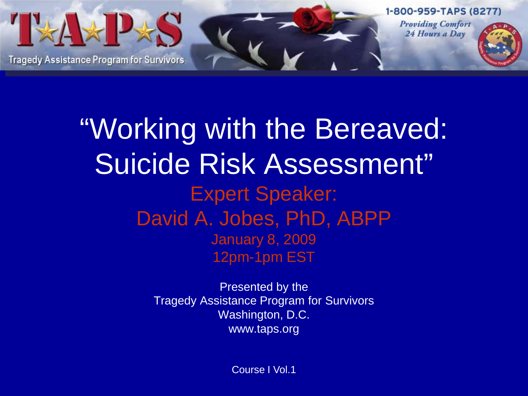

"Working with the Bereaved: Suicide Risk Assessment" Expert Speaker: David A. Jobes, PhD, ABPP January 8, 2009 12pm-1pm EST

> Presented by the Tragedy Assistance Program for Survivors Washington, D.C. www.taps.org

> > Course I Vol.1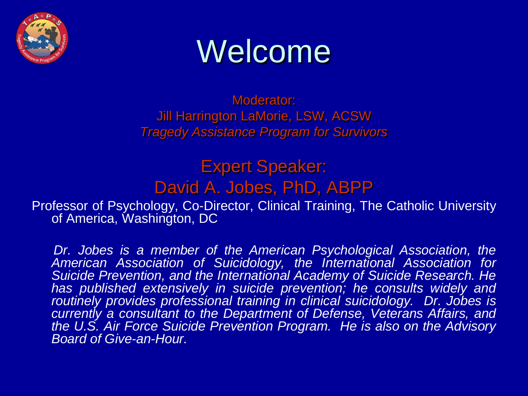

# Welcome

Moderator: Jill Harrington LaMorie, LSW, ACSW *Tragedy Assistance Program for Survivors*

Expert Speaker: David A. Jobes, PhD, ABPP

Professor of Psychology, Co-Director, Clinical Training, The Catholic University of America, Washington, DC

*Dr. Jobes is a member of the American Psychological Association, the American Association of Suicidology, the International Association for Suicide Prevention, and the International Academy of Suicide Research. He has published extensively in suicide prevention; he consults widely and routinely provides professional training in clinical suicidology. Dr. Jobes is currently a consultant to the Department of Defense, Veterans Affairs, and the U.S. Air Force Suicide Prevention Program. He is also on the Advisory Board of Give-an-Hour.*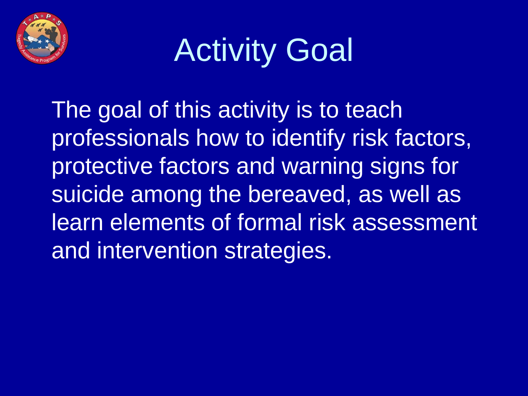

# Activity Goal

The goal of this activity is to teach professionals how to identify risk factors, protective factors and warning signs for suicide among the bereaved, as well as learn elements of formal risk assessment and intervention strategies.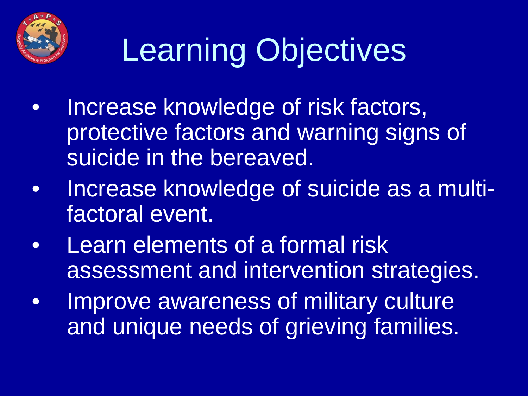

# Learning Objectives

- Increase knowledge of risk factors, protective factors and warning signs of suicide in the bereaved.
- Increase knowledge of suicide as a multifactoral event.
- Learn elements of a formal risk assessment and intervention strategies.
- Improve awareness of military culture and unique needs of grieving families.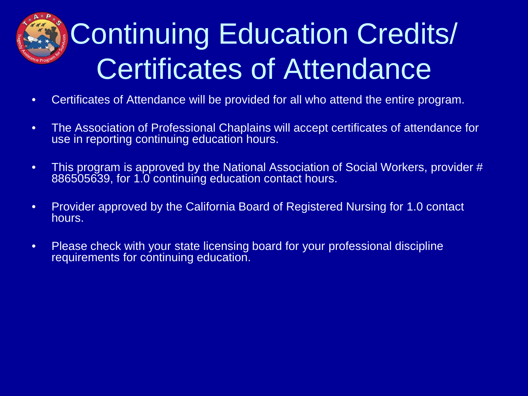# Continuing Education Credits/ Certificates of Attendance

- Certificates of Attendance will be provided for all who attend the entire program.
- The Association of Professional Chaplains will accept certificates of attendance for use in reporting continuing education hours.
- This program is approved by the National Association of Social Workers, provider # 886505639, for 1.0 continuing education contact hours.
- Provider approved by the California Board of Registered Nursing for 1.0 contact hours.
- Please check with your state licensing board for your professional discipline requirements for continuing education.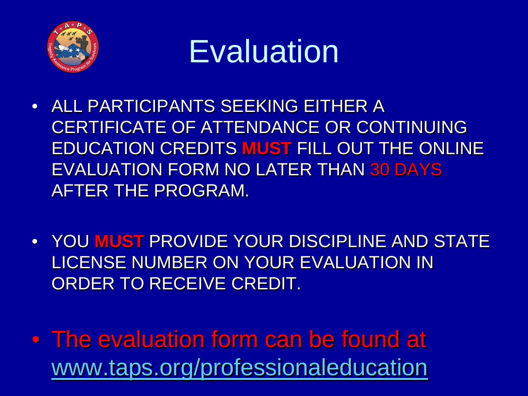



- ALL PARTICIPANTS SEEKING EITHER A CERTIFICATE OF ATTENDANCE OR CONTINUING EDUCATION CREDITS **MUST** FILL OUT THE ONLINE EVALUATION FORM NO LATER THAN 30 DAYS AFTER THE PROGRAM.
- YOU **MUST** PROVIDE YOUR DISCIPLINE AND STATE LICENSE NUMBER ON YOUR EVALUATION IN ORDER TO RECEIVE CREDIT.
- The evaluation form can be found at [www.taps.org/professionaleducation](http://www.taps.org/professionaleducation)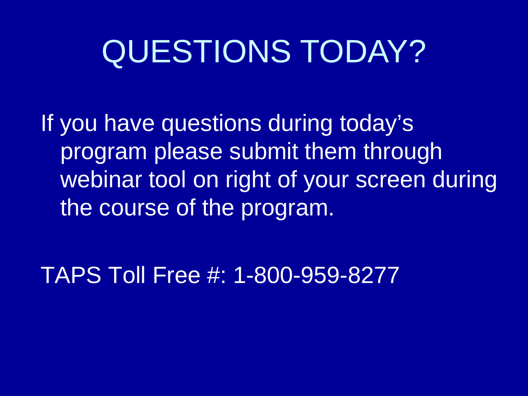# QUESTIONS TODAY?

If you have questions during today's program please submit them through webinar tool on right of your screen during the course of the program.

TAPS Toll Free #: 1-800-959-8277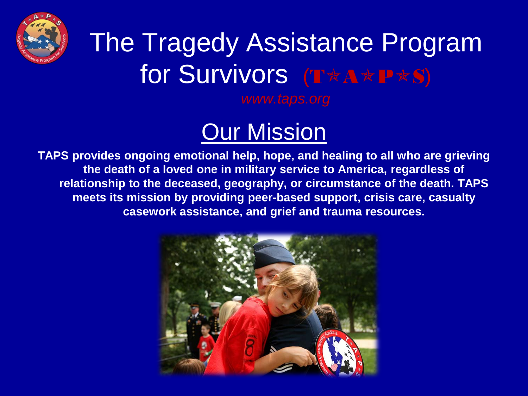

### The Tragedy Assistance Program for Survivors (T\*A\*P\*S)

*www.taps.org*

### **Our Mission**

**TAPS provides ongoing emotional help, hope, and healing to all who are grieving the death of a loved one in military service to America, regardless of relationship to the deceased, geography, or circumstance of the death. TAPS meets its mission by providing peer-based support, crisis care, casualty casework assistance, and grief and trauma resources.**

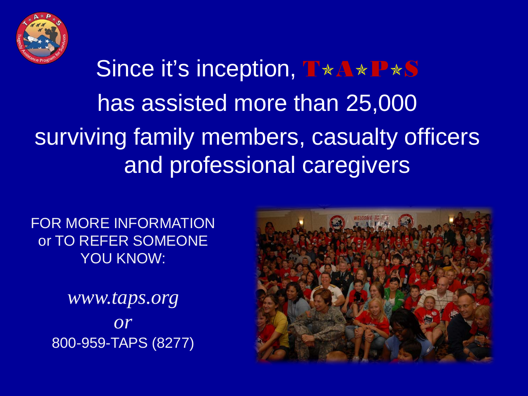

### Since it's inception, T\*A\*P\*S has assisted more than 25,000 surviving family members, casualty officers and professional caregivers

FOR MORE INFORMATION or TO REFER SOMEONE YOU KNOW:

> *www.taps.org or* 800-959-TAPS (8277)

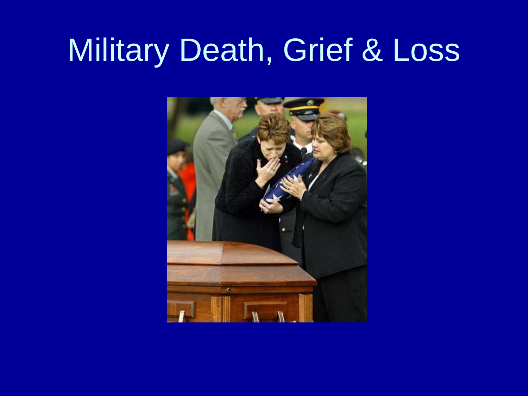## Military Death, Grief & Loss

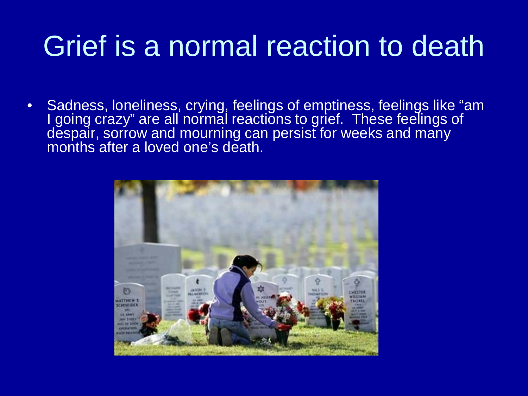### Grief is a normal reaction to death

• Sadness, loneliness, crying, feelings of emptiness, feelings like "am I going crazy" are all normal reactions to grief. These feelings of despair, sorrow and mourning can persist for weeks and many months after a loved one's death.

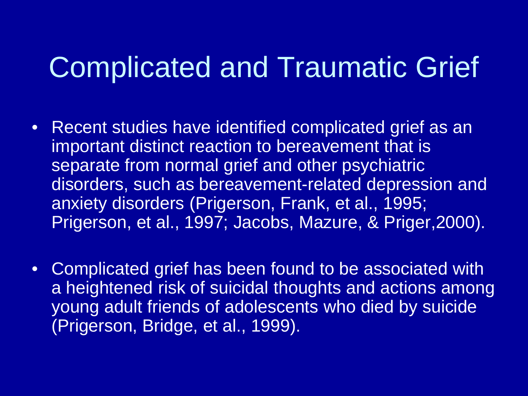### Complicated and Traumatic Grief

- Recent studies have identified complicated grief as an important distinct reaction to bereavement that is separate from normal grief and other psychiatric disorders, such as bereavement-related depression and anxiety disorders (Prigerson, Frank, et al., 1995; Prigerson, et al., 1997; Jacobs, Mazure, & Priger,2000).
- Complicated grief has been found to be associated with a heightened risk of suicidal thoughts and actions among young adult friends of adolescents who died by suicide (Prigerson, Bridge, et al., 1999).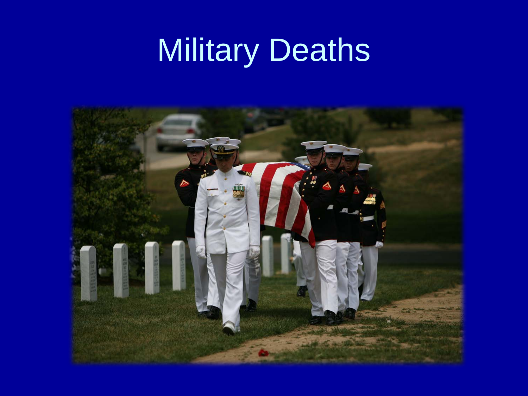# Military Deaths

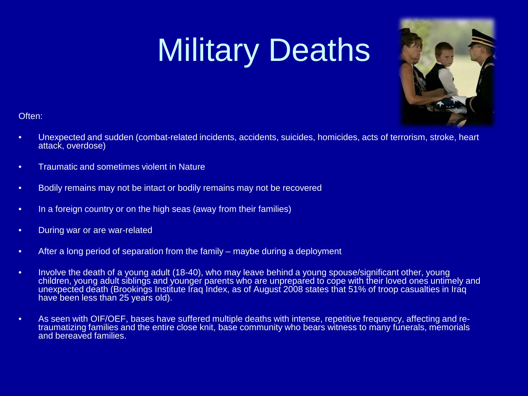# Military Deaths



Often:

- Unexpected and sudden (combat-related incidents, accidents, suicides, homicides, acts of terrorism, stroke, heart attack, overdose)
- Traumatic and sometimes violent in Nature
- Bodily remains may not be intact or bodily remains may not be recovered
- In a foreign country or on the high seas (away from their families)
- During war or are war-related
- After a long period of separation from the family maybe during a deployment
- Involve the death of a young adult (18-40), who may leave behind a young spouse/significant other, young children, young adult siblings and younger parents who are unprepared to cope with their loved ones untimely and unexpected death (Brookings Institute Iraq Index, as of August 2008 states that 51% of troop casualties in Iraq have been less than 25 years old).
- As seen with OIF/OEF, bases have suffered multiple deaths with intense, repetitive frequency, affecting and re- traumatizing families and the entire close knit, base community who bears witness to many funerals, memorials and bereaved families.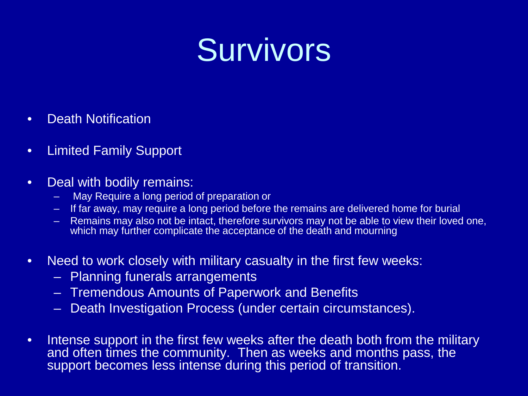# Survivors

- Death Notification
- Limited Family Support
- Deal with bodily remains:
	- May Require a long period of preparation or
	- If far away, may require a long period before the remains are delivered home for burial
	- Remains may also not be intact, therefore survivors may not be able to view their loved one, which may further complicate the acceptance of the death and mourning
- Need to work closely with military casualty in the first few weeks:
	- Planning funerals arrangements
	- Tremendous Amounts of Paperwork and Benefits
	- Death Investigation Process (under certain circumstances).
- Intense support in the first few weeks after the death both from the military and often times the community. Then as weeks and months pass, the support becomes less intense during this period of transition.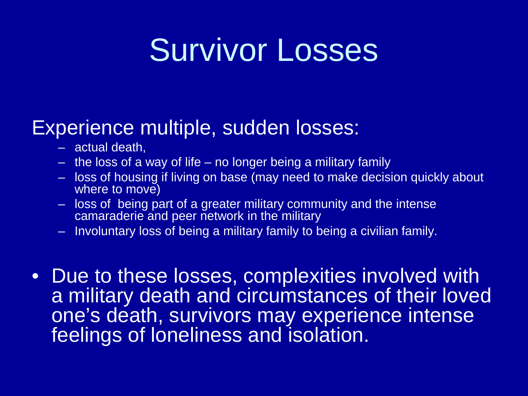## Survivor Losses

### Experience multiple, sudden losses:

- actual death,
- the loss of a way of life no longer being a military family
- loss of housing if living on base (may need to make decision quickly about where to move)
- loss of being part of a greater military community and the intense camaraderie and peer network in the military
- Involuntary loss of being a military family to being a civilian family.
- Due to these losses, complexities involved with a military death and circumstances of their loved one's death, survivors may experience intense feelings of loneliness and isolation.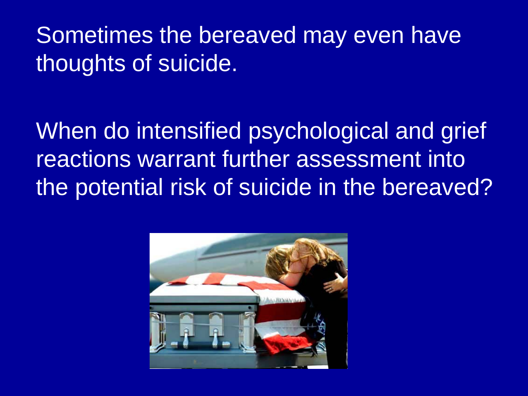Sometimes the bereaved may even have thoughts of suicide.

When do intensified psychological and grief reactions warrant further assessment into the potential risk of suicide in the bereaved?

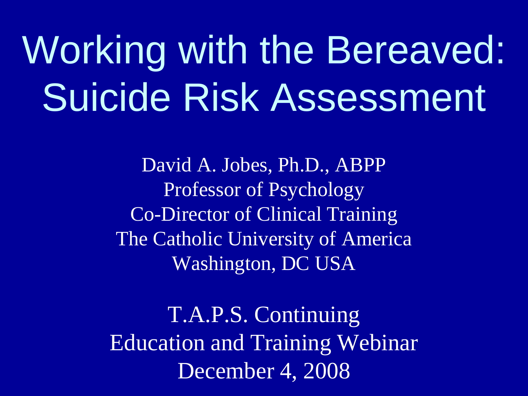Working with the Bereaved: Suicide Risk Assessment

> David A. Jobes, Ph.D., ABPP Professor of Psychology Co-Director of Clinical Training The Catholic University of America Washington, DC USA

T.A.P.S. Continuing Education and Training Webinar December 4, 2008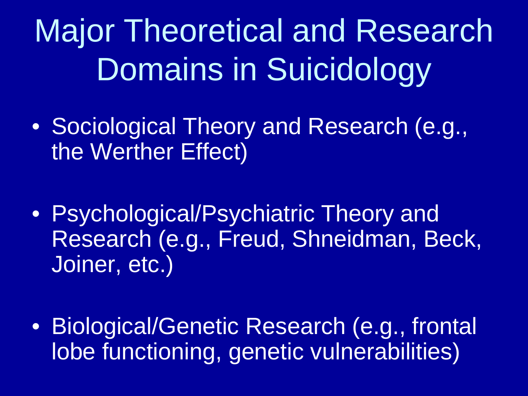Major Theoretical and Research Domains in Suicidology

- Sociological Theory and Research (e.g., the Werther Effect)
- Psychological/Psychiatric Theory and Research (e.g., Freud, Shneidman, Beck, Joiner, etc.)
- Biological/Genetic Research (e.g., frontal lobe functioning, genetic vulnerabilities)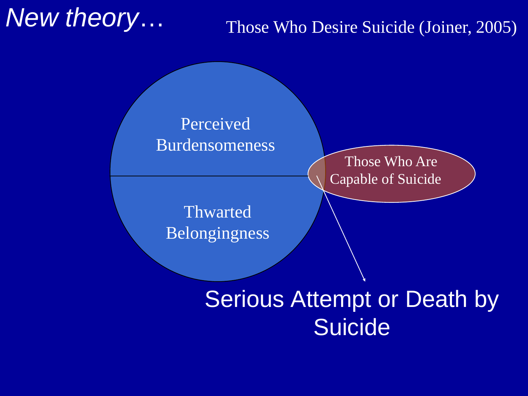### *New theory*…

### Those Who Desire Suicide (Joiner, 2005)

#### Perceived Burdensomeness

Thwarted Belongingness

Those Who Are Capable of Suicide

### Serious Attempt or Death by **Suicide**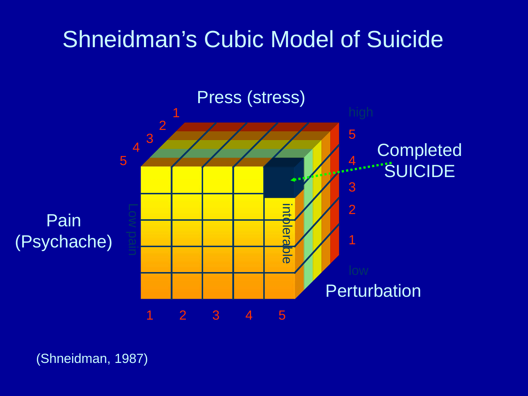### Shneidman's Cubic Model of Suicide



(Shneidman, 1987)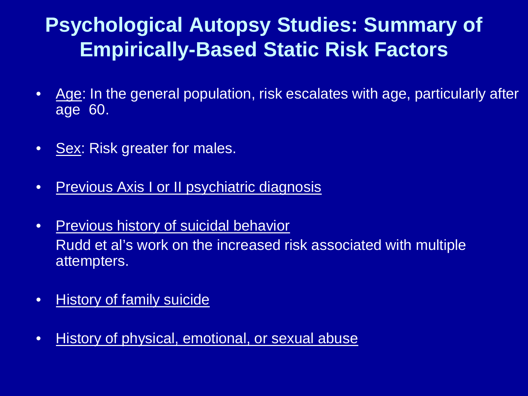### **Psychological Autopsy Studies: Summary of Empirically-Based Static Risk Factors**

- Age: In the general population, risk escalates with age, particularly after age 60.
- Sex: Risk greater for males.
- Previous Axis I or II psychiatric diagnosis
- Previous history of suicidal behavior Rudd et al's work on the increased risk associated with multiple attempters.
- History of family suicide
- History of physical, emotional, or sexual abuse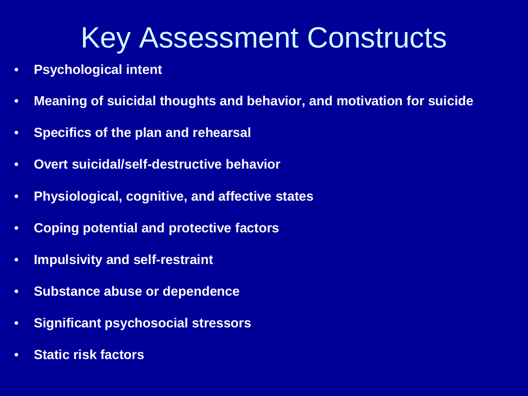### Key Assessment Constructs

- **Psychological intent**
- **Meaning of suicidal thoughts and behavior, and motivation for suicide**
- **Specifics of the plan and rehearsal**
- **Overt suicidal/self-destructive behavior**
- **Physiological, cognitive, and affective states**
- **Coping potential and protective factors**
- **Impulsivity and self-restraint**
- **Substance abuse or dependence**
- **Significant psychosocial stressors**
- **Static risk factors**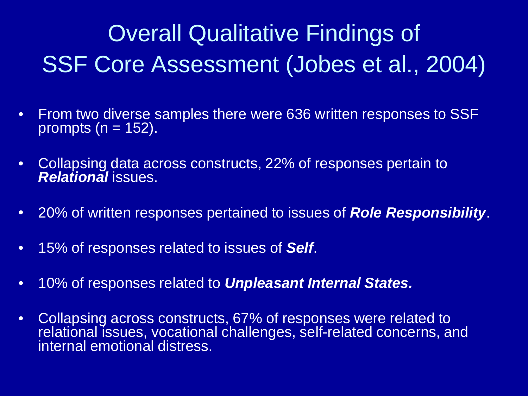### Overall Qualitative Findings of SSF Core Assessment (Jobes et al., 2004)

- From two diverse samples there were 636 written responses to SSF prompts ( $n = 152$ ).
- Collapsing data across constructs, 22% of responses pertain to *Relational* issues.
- 20% of written responses pertained to issues of *Role Responsibility*.
- 15% of responses related to issues of *Self*.
- 10% of responses related to *Unpleasant Internal States.*
- Collapsing across constructs, 67% of responses were related to relational issues, vocational challenges, self-related concerns, and internal emotional distress.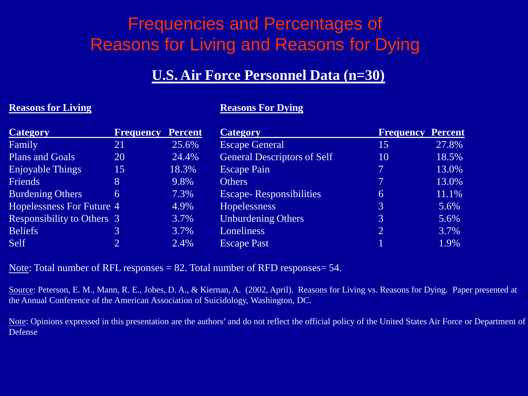### Frequencies and Percentages of Reasons for Living and Reasons for Dying

#### **U.S. Air Force Personnel Data (n=30)**

#### **Reasons for Living** <br>**Reasons For Dying**

| <b>Category</b>                   | <b>Frequency</b> | <b>Percent</b> | <b>Category</b>                    | <b>Frequency</b> | <b>Percent</b> |
|-----------------------------------|------------------|----------------|------------------------------------|------------------|----------------|
| Family                            | 21               | 25.6%          | <b>Escape General</b>              | 15               | 27.8%          |
| <b>Plans and Goals</b>            | 20               | 24.4%          | <b>General Descriptors of Self</b> | 10               | 18.5%          |
| Enjoyable Things                  | 15               | 18.3%          | <b>Escape Pain</b>                 | 7                | 13.0%          |
| Friends                           | 8                | 9.8%           | <b>Others</b>                      | 7                | 13.0%          |
| <b>Burdening Others</b>           | 6                | 7.3%           | <b>Escape-</b> Responsibilities    | 6                | 11.1%          |
| <b>Hopelessness For Future 4</b>  |                  | 4.9%           | <b>Hopelessness</b>                | 3                | 5.6%           |
| <b>Responsibility to Others 3</b> |                  | 3.7%           | <b>Unburdening Others</b>          | $\mathfrak{Z}$   | 5.6%           |
| <b>Beliefs</b>                    | 3                | 3.7%           | Loneliness                         | $\overline{2}$   | 3.7%           |
| Self                              |                  | 2.4%           | <b>Escape Past</b>                 |                  | 1.9%           |

Note: Total number of RFL responses  $= 82$ . Total number of RFD responses  $= 54$ .

Source: Peterson, E. M., Mann, R. E., Jobes, D. A., & Kiernan, A. (2002, April). Reasons for Living vs. Reasons for Dying. Paper presented at the Annual Conference of the American Association of Suicidology, Washington, DC.

Note: Opinions expressed in this presentation are the authors' and do not reflect the official policy of the United States Air Force or Department of Defense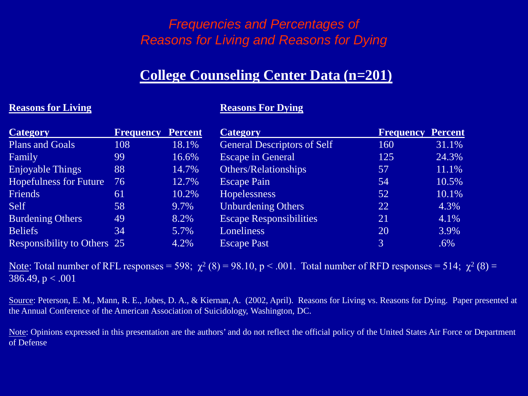#### *Frequencies and Percentages of Reasons for Living and Reasons for Dying*

#### **College Counseling Center Data (n=201)**

#### **Reasons for Living Reasons For Dying**

| <b>Category</b>                    | <b>Frequency</b> | <b>Percent</b> | <b>Category</b>                    | <b>Frequency Percent</b> |        |
|------------------------------------|------------------|----------------|------------------------------------|--------------------------|--------|
| <b>Plans and Goals</b>             | 108              | 18.1%          | <b>General Descriptors of Self</b> | 160                      | 31.1%  |
| Family                             | 99               | 16.6%          | <b>Escape in General</b>           | 125                      | 24.3%  |
| <b>Enjoyable Things</b>            | 88               | 14.7%          | Others/Relationships               | 57                       | 11.1%  |
| <b>Hopefulness for Future</b>      | 76               | 12.7%          | <b>Escape Pain</b>                 | 54                       | 10.5%  |
| <b>Friends</b>                     | 61               | 10.2%          | <b>Hopelessness</b>                | 52                       | 10.1%  |
| Self                               | 58               | 9.7%           | <b>Unburdening Others</b>          | 22                       | 4.3%   |
| <b>Burdening Others</b>            | 49               | 8.2%           | <b>Escape Responsibilities</b>     | 21                       | 4.1%   |
| <b>Beliefs</b>                     | 34               | 5.7%           | Loneliness                         | 20                       | 3.9%   |
| <b>Responsibility to Others</b> 25 |                  | 4.2%           | <b>Escape Past</b>                 | 3                        | $.6\%$ |

Note: Total number of RFL responses = 598;  $\chi^2$  (8) = 98.10, p < .001. Total number of RFD responses = 514;  $\chi^2$  (8) = 386.49,  $p < .001$ 

Source: Peterson, E. M., Mann, R. E., Jobes, D. A., & Kiernan, A. (2002, April). Reasons for Living vs. Reasons for Dying. Paper presented at the Annual Conference of the American Association of Suicidology, Washington, DC.

Note: Opinions expressed in this presentation are the authors' and do not reflect the official policy of the United States Air Force or Department of Defense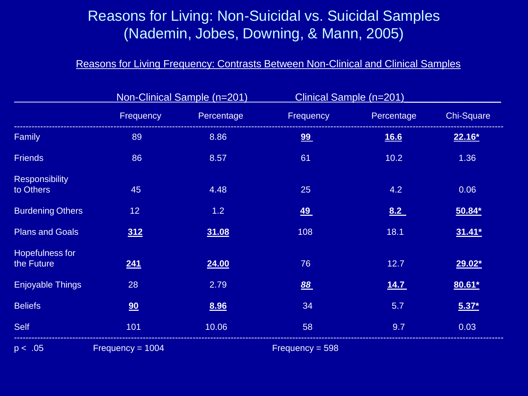#### Reasons for Living: Non-Suicidal vs. Suicidal Samples (Nademin, Jobes, Downing, & Mann, 2005)

#### Reasons for Living Frequency: Contrasts Between Non-Clinical and Clinical Samples

|                                    |                    | Non-Clinical Sample (n=201) |                   | Clinical Sample (n=201) |            |
|------------------------------------|--------------------|-----------------------------|-------------------|-------------------------|------------|
|                                    | Frequency          | Percentage                  | Frequency         | Percentage              | Chi-Square |
| Family                             | 89                 | 8.86                        | 99                | <u>16.6</u>             | $22.16*$   |
| <b>Friends</b>                     | 86                 | 8.57                        | 61                | 10.2                    | 1.36       |
| <b>Responsibility</b><br>to Others | 45                 | 4.48                        | 25                | 4.2                     | 0.06       |
| <b>Burdening Others</b>            | 12 <sub>2</sub>    | 1.2                         | <u>49</u>         | 8.2                     | $50.84*$   |
| <b>Plans and Goals</b>             | 312                | 31.08                       | 108               | 18.1                    | $31.41*$   |
| Hopefulness for<br>the Future      | 241                | 24.00                       | 76                | 12.7                    | $29.02*$   |
| <b>Enjoyable Things</b>            | 28                 | 2.79                        | 88                | 14.7                    | $80.61*$   |
| <b>Beliefs</b>                     | 90                 | 8.96                        | 34                | 5.7                     | $5.37*$    |
| <b>Self</b>                        | 101                | 10.06                       | 58                | 9.7                     | 0.03       |
| p < .05                            | Frequency = $1004$ |                             | Frequency = $598$ |                         |            |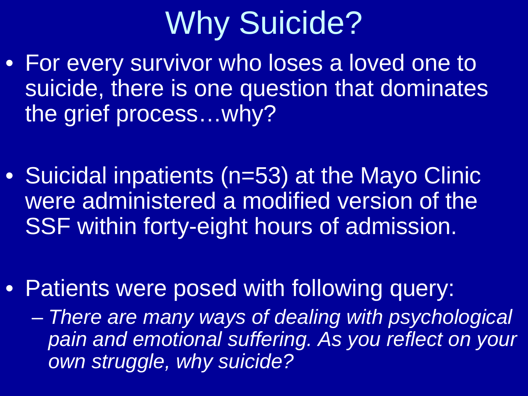# Why Suicide?

- For every survivor who loses a loved one to suicide, there is one question that dominates the grief process…why?
- Suicidal inpatients (n=53) at the Mayo Clinic were administered a modified version of the SSF within forty-eight hours of admission.
- Patients were posed with following query:

– *There are many ways of dealing with psychological pain and emotional suffering. As you reflect on your own struggle, why suicide?*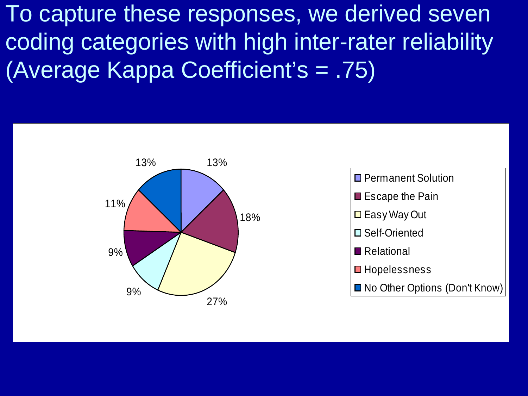To capture these responses, we derived seven coding categories with high inter-rater reliability (Average Kappa Coefficient's = .75)

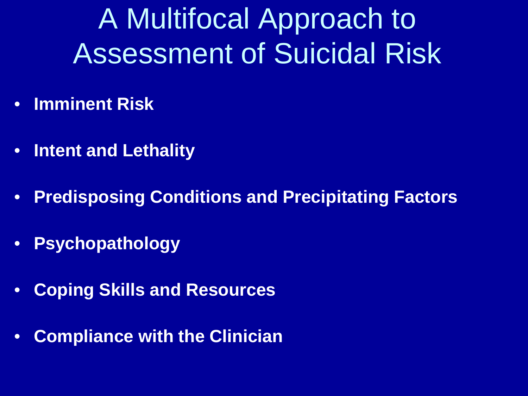A Multifocal Approach to Assessment of Suicidal Risk

- **Imminent Risk**
- **Intent and Lethality**
- **Predisposing Conditions and Precipitating Factors**
- **Psychopathology**
- **Coping Skills and Resources**
- **Compliance with the Clinician**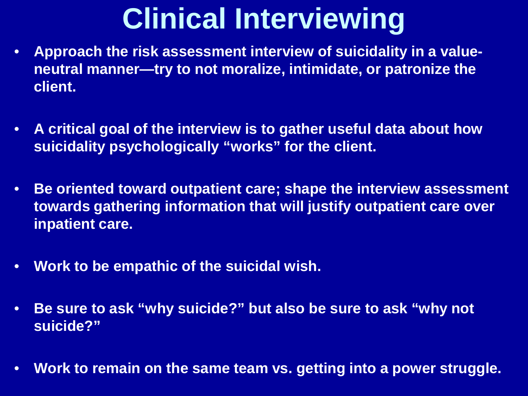## **Clinical Interviewing**

- **Approach the risk assessment interview of suicidality in a valueneutral manner—try to not moralize, intimidate, or patronize the client.**
- **A critical goal of the interview is to gather useful data about how suicidality psychologically "works" for the client.**
- **Be oriented toward outpatient care; shape the interview assessment towards gathering information that will justify outpatient care over inpatient care.**
- **Work to be empathic of the suicidal wish.**
- **Be sure to ask "why suicide?" but also be sure to ask "why not suicide?"**
- **Work to remain on the same team vs. getting into a power struggle.**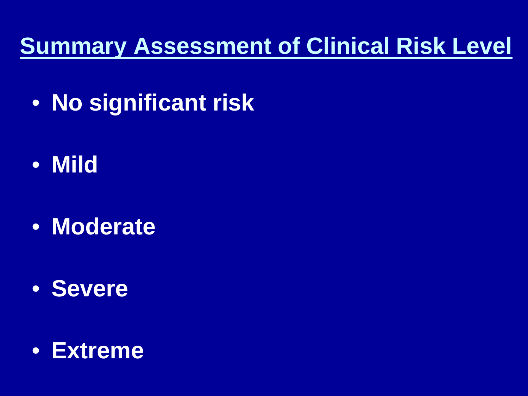### **Summary Assessment of Clinical Risk Level**

- **No significant risk**
- **Mild**
- **Moderate**
- **Severe**

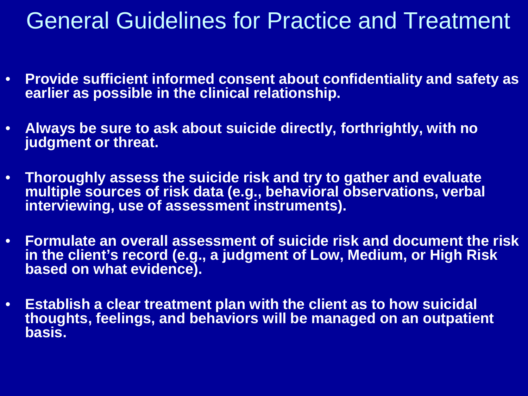### General Guidelines for Practice and Treatment

- **Provide sufficient informed consent about confidentiality and safety as earlier as possible in the clinical relationship.**
- **Always be sure to ask about suicide directly, forthrightly, with no judgment or threat.**
- **Thoroughly assess the suicide risk and try to gather and evaluate multiple sources of risk data (e.g., behavioral observations, verbal interviewing, use of assessment instruments).**
- **Formulate an overall assessment of suicide risk and document the risk in the client's record (e.g., a judgment of Low, Medium, or High Risk based on what evidence).**
- **Establish a clear treatment plan with the client as to how suicidal thoughts, feelings, and behaviors will be managed on an outpatient basis.**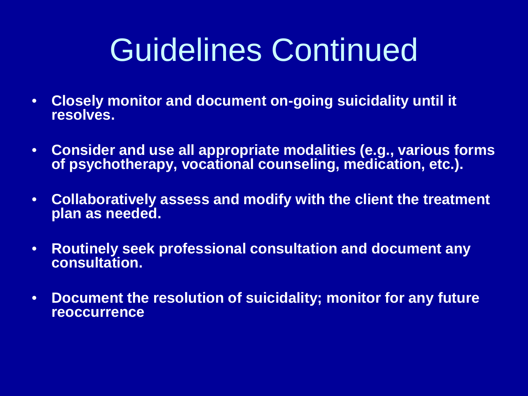# Guidelines Continued

- **Closely monitor and document on-going suicidality until it resolves.**
- **Consider and use all appropriate modalities (e.g., various forms of psychotherapy, vocational counseling, medication, etc.).**
- **Collaboratively assess and modify with the client the treatment plan as needed.**
- **Routinely seek professional consultation and document any consultation.**
- **Document the resolution of suicidality; monitor for any future reoccurrence**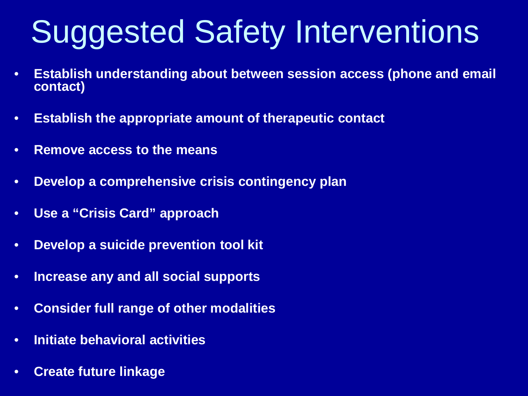# Suggested Safety Interventions

- **Establish understanding about between session access (phone and email contact)**
- **Establish the appropriate amount of therapeutic contact**
- **Remove access to the means**
- **Develop a comprehensive crisis contingency plan**
- **Use a "Crisis Card" approach**
- **Develop a suicide prevention tool kit**
- **Increase any and all social supports**
- **Consider full range of other modalities**
- **Initiate behavioral activities**
- **Create future linkage**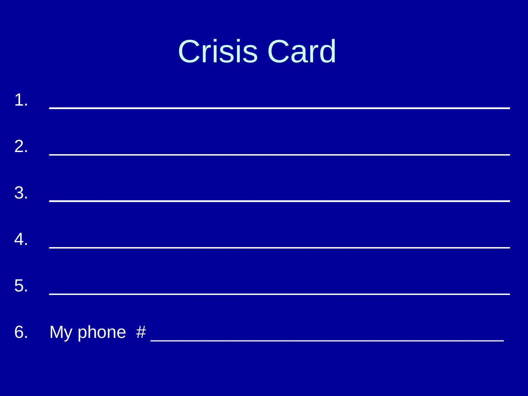## **Crisis Card**

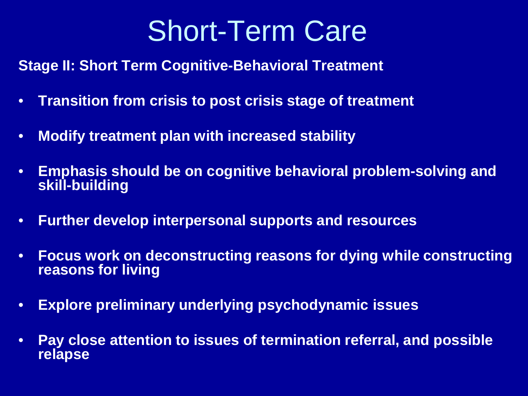### Short-Term Care

**Stage II: Short Term Cognitive-Behavioral Treatment**

- **Transition from crisis to post crisis stage of treatment**
- **Modify treatment plan with increased stability**
- **Emphasis should be on cognitive behavioral problem-solving and skill-building**
- **Further develop interpersonal supports and resources**
- **Focus work on deconstructing reasons for dying while constructing reasons for living**
- **Explore preliminary underlying psychodynamic issues**
- **Pay close attention to issues of termination referral, and possible relapse**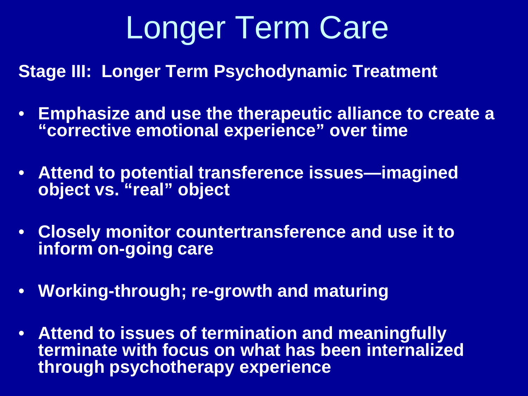# Longer Term Care

**Stage III: Longer Term Psychodynamic Treatment**

- **Emphasize and use the therapeutic alliance to create a "corrective emotional experience" over time**
- **Attend to potential transference issues—imagined object vs. "real" object**
- **Closely monitor countertransference and use it to inform on-going care**
- **Working-through; re-growth and maturing**
- **Attend to issues of termination and meaningfully terminate with focus on what has been internalized through psychotherapy experience**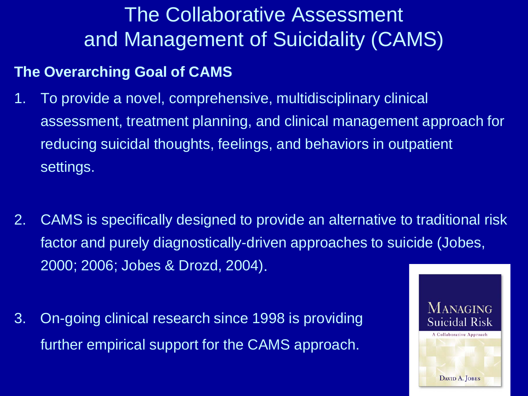### The Collaborative Assessment and Management of Suicidality (CAMS)

#### **The Overarching Goal of CAMS**

- 1. To provide a novel, comprehensive, multidisciplinary clinical assessment, treatment planning, and clinical management approach for reducing suicidal thoughts, feelings, and behaviors in outpatient settings.
- 2. CAMS is specifically designed to provide an alternative to traditional risk factor and purely diagnostically-driven approaches to suicide (Jobes, 2000; 2006; Jobes & Drozd, 2004).
- 3. On-going clinical research since 1998 is providing further empirical support for the CAMS approach.

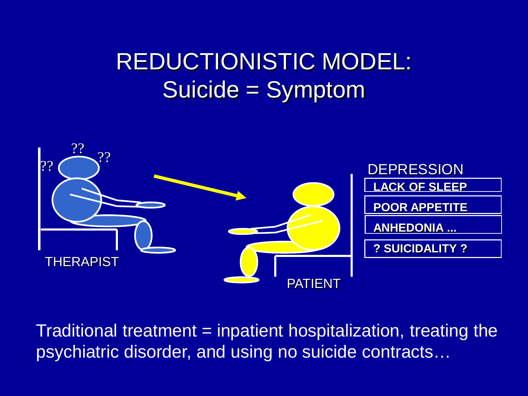### REDUCTIONISTIC MODEL: Suicide = Symptom



Traditional treatment = inpatient hospitalization, treating the psychiatric disorder, and using no suicide contracts…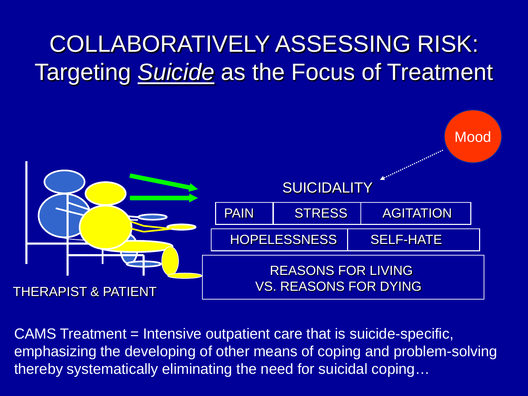### COLLABORATIVELY ASSESSING RISK: Targeting *Suicide* as the Focus of Treatment



CAMS Treatment = Intensive outpatient care that is suicide-specific, emphasizing the developing of other means of coping and problem-solving thereby systematically eliminating the need for suicidal coping…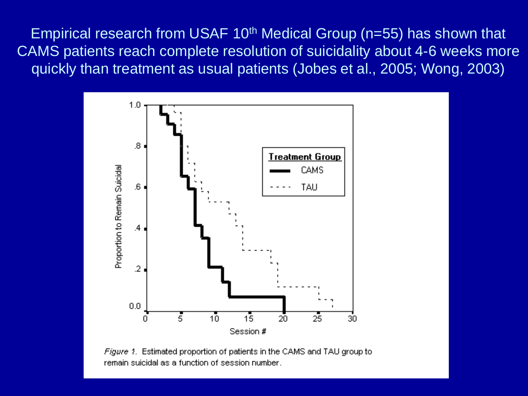Empirical research from USAF 10th Medical Group (n=55) has shown that CAMS patients reach complete resolution of suicidality about 4-6 weeks more quickly than treatment as usual patients (Jobes et al., 2005; Wong, 2003)



Figure 1. Estimated proportion of patients in the CAMS and TAU group to remain suicidal as a function of session number.